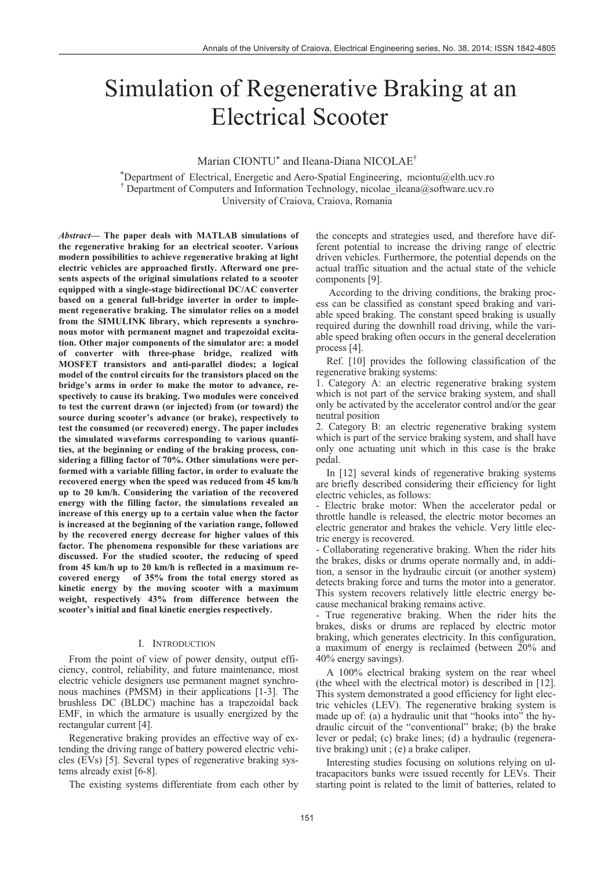# Simulation of Regenerative Braking at an Electrical Scooter

# Marian CIONTU<sup>\*</sup> and Ileana-Diana NICOLAE<sup>†</sup>

\*Department of Electrical, Energetic and Aero-Spatial Engineering, mciontu@elth.ucv.ro <sup>†</sup> Department of Computers and Information Technology, nicolae\_ileana@software.ucv.ro University of Craiova, Craiova, Romania

*Abstract***— The paper deals with MATLAB simulations of the regenerative braking for an electrical scooter. Various modern possibilities to achieve regenerative braking at light electric vehicles are approached firstly. Afterward one presents aspects of the original simulations related to a scooter equipped with a single-stage bidirectional DC/AC converter based on a general full-bridge inverter in order to implement regenerative braking. The simulator relies on a model from the SIMULINK library, which represents a synchronous motor with permanent magnet and trapezoidal excitation. Other major components of the simulator are: a model of converter with three-phase bridge, realized with MOSFET transistors and anti-parallel diodes; a logical model of the control circuits for the transistors placed on the bridge's arms in order to make the motor to advance, respectively to cause its braking. Two modules were conceived to test the current drawn (or injected) from (or toward) the source during scooter's advance (or brake), respectively to test the consumed (or recovered) energy. The paper includes the simulated waveforms corresponding to various quantities, at the beginning or ending of the braking process, considering a filling factor of 70%. Other simulations were performed with a variable filling factor, in order to evaluate the recovered energy when the speed was reduced from 45 km/h up to 20 km/h. Considering the variation of the recovered energy with the filling factor, the simulations revealed an increase of this energy up to a certain value when the factor is increased at the beginning of the variation range, followed by the recovered energy decrease for higher values of this factor. The phenomena responsible for these variations are discussed. For the studied scooter, the reducing of speed from 45 km/h up to 20 km/h is reflected in a maximum recovered energy of 35% from the total energy stored as kinetic energy by the moving scooter with a maximum weight, respectively 43% from difference between the scooter's initial and final kinetic energies respectively.** 

#### I. INTRODUCTION

From the point of view of power density, output efficiency, control, reliability, and future maintenance, most electric vehicle designers use permanent magnet synchronous machines (PMSM) in their applications [1-3]. The brushless DC (BLDC) machine has a trapezoidal back EMF, in which the armature is usually energized by the rectangular current [4].

Regenerative braking provides an effective way of extending the driving range of battery powered electric vehicles (EVs) [5]. Several types of regenerative braking systems already exist [6-8].

The existing systems differentiate from each other by

the concepts and strategies used, and therefore have different potential to increase the driving range of electric driven vehicles. Furthermore, the potential depends on the actual traffic situation and the actual state of the vehicle components [9].

 According to the driving conditions, the braking process can be classified as constant speed braking and variable speed braking. The constant speed braking is usually required during the downhill road driving, while the variable speed braking often occurs in the general deceleration process [4].

Ref. [10] provides the following classification of the regenerative braking systems:

1. Category A: an electric regenerative braking system which is not part of the service braking system, and shall only be activated by the accelerator control and/or the gear neutral position

2. Category B: an electric regenerative braking system which is part of the service braking system, and shall have only one actuating unit which in this case is the brake pedal.

In [12] several kinds of regenerative braking systems are briefly described considering their efficiency for light electric vehicles, as follows:

- Electric brake motor: When the accelerator pedal or throttle handle is released, the electric motor becomes an electric generator and brakes the vehicle. Very little electric energy is recovered.

- Collaborating regenerative braking. When the rider hits the brakes, disks or drums operate normally and, in addition, a sensor in the hydraulic circuit (or another system) detects braking force and turns the motor into a generator. This system recovers relatively little electric energy because mechanical braking remains active.

- True regenerative braking. When the rider hits the brakes, disks or drums are replaced by electric motor braking, which generates electricity. In this configuration, a maximum of energy is reclaimed (between 20% and 40% energy savings).

A 100% electrical braking system on the rear wheel (the wheel with the electrical motor) is described in [12]. This system demonstrated a good efficiency for light electric vehicles (LEV). The regenerative braking system is made up of: (a) a hydraulic unit that "hooks into" the hydraulic circuit of the "conventional" brake; (b) the brake lever or pedal; (c) brake lines; (d) a hydraulic (regenerative braking) unit ; (e) a brake caliper.

Interesting studies focusing on solutions relying on ultracapacitors banks were issued recently for LEVs. Their starting point is related to the limit of batteries, related to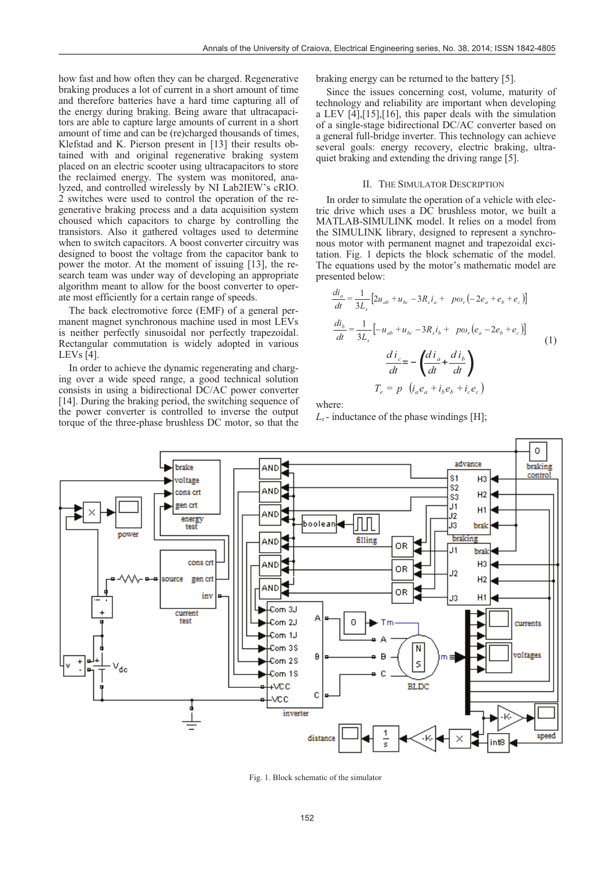how fast and how often they can be charged. Regenerative braking produces a lot of current in a short amount of time and therefore batteries have a hard time capturing all of the energy during braking. Being aware that ultracapacitors are able to capture large amounts of current in a short amount of time and can be (re)charged thousands of times, Klefstad and K. Pierson present in [13] their results obtained with and original regenerative braking system placed on an electric scooter using ultracapacitors to store the reclaimed energy. The system was monitored, analyzed, and controlled wirelessly by NI Lab2IEW's cRIO. 2 switches were used to control the operation of the regenerative braking process and a data acquisition system choused which capacitors to charge by controlling the transistors. Also it gathered voltages used to determine when to switch capacitors. A boost converter circuitry was designed to boost the voltage from the capacitor bank to power the motor. At the moment of issuing [13], the research team was under way of developing an appropriate algorithm meant to allow for the boost converter to operate most efficiently for a certain range of speeds.

The back electromotive force (EMF) of a general permanent magnet synchronous machine used in most LEVs is neither perfectly sinusoidal nor perfectly trapezoidal. Rectangular commutation is widely adopted in various LEVs [4].

In order to achieve the dynamic regenerating and charging over a wide speed range, a good technical solution consists in using a bidirectional DC/AC power converter [14]. During the braking period, the switching sequence of the power converter is controlled to inverse the output torque of the three-phase brushless DC motor, so that the

braking energy can be returned to the battery [5].

Since the issues concerning cost, volume, maturity of technology and reliability are important when developing a LEV [4],[15],[16], this paper deals with the simulation of a single-stage bidirectional DC/AC converter based on a general full-bridge inverter. This technology can achieve several goals: energy recovery, electric braking, ultraquiet braking and extending the driving range [5].

#### II. THE SIMULATOR DESCRIPTION

In order to simulate the operation of a vehicle with electric drive which uses a DC brushless motor, we built a MATLAB-SIMULINK model. It relies on a model from the SIMULINK library, designed to represent a synchronous motor with permanent magnet and trapezoidal excitation. Fig. 1 depicts the block schematic of the model. The equations used by the motor's mathematic model are presented below:

$$
\frac{di_a}{dt} = \frac{1}{3L_s} \left[ 2u_{ab} + u_{bc} - 3R_s i_a + p\omega_r \left( -2e_a + e_b + e_c \right) \right]
$$
  
\n
$$
\frac{di_b}{dt} = \frac{1}{3L_s} \left[ -u_{ab} + u_{bc} - 3R_s i_b + p\omega_r \left( e_a - 2e_b + e_c \right) \right]
$$
  
\n
$$
\frac{di_c}{dt} = -\left( \frac{di_a}{dt} + \frac{di_b}{dt} \right)
$$
  
\n
$$
T_e = p \left( i_a e_a + i_b e_b + i_c e_c \right)
$$
\n(1)

where:

 $L<sub>s</sub>$  - inductance of the phase windings [H];



Fig. 1. Block schematic of the simulator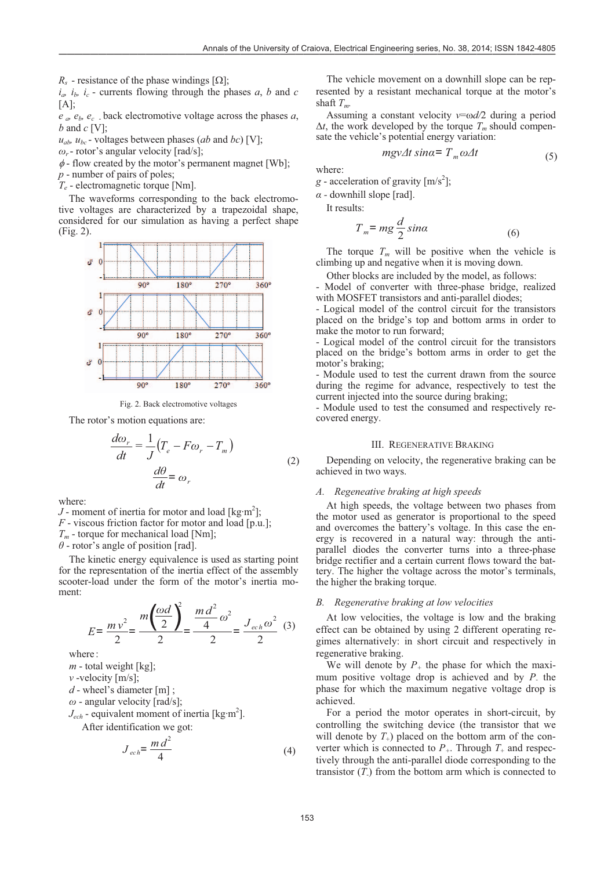$R_s$  - resistance of the phase windings  $[\Omega]$ ;

 $i_a$ ,  $i_b$ ,  $i_c$  - currents flowing through the phases *a*, *b* and *c*  $[A]$ ;

*e a, eb, ec* - back electromotive voltage across the phases *a*, *b* and *c* [V];

 $u_{ab}$ ,  $u_{bc}$  - voltages between phases (*ab* and *bc*) [V];

- $\omega_r$  rotor's angular velocity [rad/s];
- $\phi$  flow created by the motor's permanent magnet [Wb];
- *p* number of pairs of poles;

*Te* - electromagnetic torque [Nm].

The waveforms corresponding to the back electromotive voltages are characterized by a trapezoidal shape, considered for our simulation as having a perfect shape (Fig. 2).



Fig. 2. Back electromotive voltages

The rotor's motion equations are:

$$
\frac{d\omega_r}{dt} = \frac{1}{J} \left( T_e - F\omega_r - T_m \right)
$$
  

$$
\frac{d\theta}{dt} = \omega_r
$$
 (2)

where:

*J* - moment of inertia for motor and load [kg·m<sup>2</sup>]; *F* - viscous friction factor for motor and load [p.u.]; *Tm* - torque for mechanical load [Nm];

 $\theta$  - rotor's angle of position [rad].

The kinetic energy equivalence is used as starting point for the representation of the inertia effect of the assembly scooter-load under the form of the motor's inertia moment:

$$
E = \frac{mv^2}{2} = \frac{m\left(\frac{\omega d}{2}\right)^2}{2} = \frac{m\,d^2}{2}\omega^2 = \frac{J_{ech}\omega^2}{2} \tag{3}
$$

where :

 $m$  - total weight [kg];

*v* -velocity [m/s];

*d* - wheel's diameter [m] ;

 $\omega$  - angular velocity [rad/s];

 $J_{ech}$  - equivalent moment of inertia [kg·m<sup>2</sup>].

After identification we got:

$$
J_{ech} = \frac{m d^2}{4} \tag{4}
$$

The vehicle movement on a downhill slope can be represented by a resistant mechanical torque at the motor's shaft  $T_m$ .

Assuming a constant velocity  $v = \omega d/2$  during a period  $\Delta t$ , the work developed by the torque  $T_m$  should compensate the vehicle's potential energy variation:

$$
m g v \Delta t \sin \alpha = T_m \omega \Delta t \tag{5}
$$

where:

 $g$  - acceleration of gravity  $[m/s^2]$ ;

 $\alpha$  - downhill slope [rad].

It results:

$$
T_m = mg \frac{d}{2} \sin \alpha \tag{6}
$$

The torque  $T_m$  will be positive when the vehicle is climbing up and negative when it is moving down.

Other blocks are included by the model, as follows:

- Model of converter with three-phase bridge, realized with MOSFET transistors and anti-parallel diodes;

- Logical model of the control circuit for the transistors placed on the bridge's top and bottom arms in order to make the motor to run forward;

- Logical model of the control circuit for the transistors placed on the bridge's bottom arms in order to get the motor's braking;

- Module used to test the current drawn from the source during the regime for advance, respectively to test the current injected into the source during braking;

- Module used to test the consumed and respectively recovered energy.

# III. REGENERATIVE BRAKING

Depending on velocity, the regenerative braking can be achieved in two ways.

# *A. Regeneative braking at high speeds*

At high speeds, the voltage between two phases from the motor used as generator is proportional to the speed and overcomes the battery's voltage. In this case the energy is recovered in a natural way: through the antiparallel diodes the converter turns into a three-phase bridge rectifier and a certain current flows toward the battery. The higher the voltage across the motor's terminals, the higher the braking torque.

# *B. Regenerative braking at low velocities*

At low velocities, the voltage is low and the braking effect can be obtained by using 2 different operating regimes alternatively: in short circuit and respectively in regenerative braking.

We will denote by  $P_+$  the phase for which the maximum positive voltage drop is achieved and by *P-* the phase for which the maximum negative voltage drop is achieved.

For a period the motor operates in short-circuit, by controlling the switching device (the transistor that we will denote by  $T_{+}$ ) placed on the bottom arm of the converter which is connected to  $P_+$ . Through  $T_+$  and respectively through the anti-parallel diode corresponding to the transistor  $(T)$  from the bottom arm which is connected to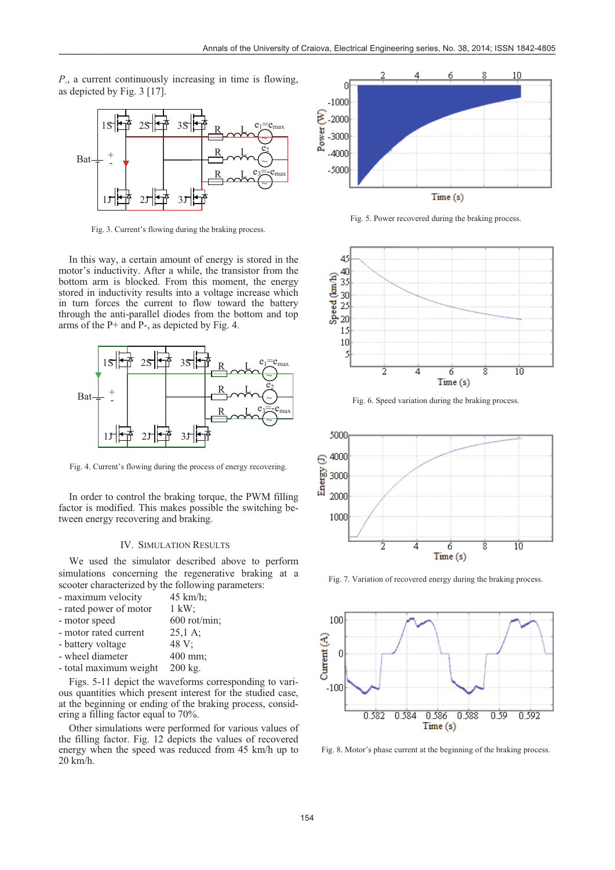*P-*, a current continuously increasing in time is flowing, as depicted by Fig. 3 [17].



Fig. 3. Current's flowing during the braking process.

In this way, a certain amount of energy is stored in the motor's inductivity. After a while, the transistor from the bottom arm is blocked. From this moment, the energy stored in inductivity results into a voltage increase which in turn forces the current to flow toward the battery through the anti-parallel diodes from the bottom and top arms of the P+ and P-, as depicted by Fig. 4.



Fig. 4. Current's flowing during the process of energy recovering.

In order to control the braking torque, the PWM filling factor is modified. This makes possible the switching between energy recovering and braking.

# IV. SIMULATION RESULTS

We used the simulator described above to perform simulations concerning the regenerative braking at a scooter characterized by the following parameters:

| - maximum velocity     | 45 km/h;                |
|------------------------|-------------------------|
| - rated power of motor | $1 \text{ kW}$          |
| - motor speed          | $600 \text{ rot/min}$ ; |
| - motor rated current  | $25.1 \text{ A}$ :      |
| - battery voltage      | 48 V:                   |
| - wheel diameter       | 400 mm;                 |
| - total maximum weight | 200 kg.                 |
|                        |                         |

Figs. 5-11 depict the waveforms corresponding to various quantities which present interest for the studied case, at the beginning or ending of the braking process, considering a filling factor equal to 70%.

Other simulations were performed for various values of the filling factor. Fig. 12 depicts the values of recovered energy when the speed was reduced from 45 km/h up to 20 km/h.



Fig. 5. Power recovered during the braking process.



Fig. 6. Speed variation during the braking process.



Fig. 7. Variation of recovered energy during the braking process.



Fig. 8. Motor's phase current at the beginning of the braking process.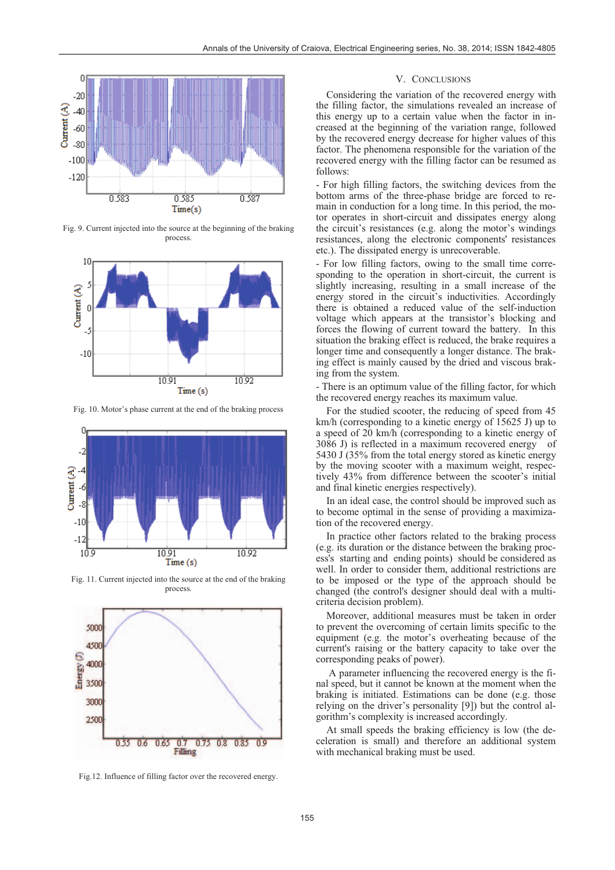

Fig. 9. Current injected into the source at the beginning of the braking process.



Fig. 10. Motor's phase current at the end of the braking process



Fig. 11. Current injected into the source at the end of the braking process*.* 



Fig.12. Influence of filling factor over the recovered energy.

## V. CONCLUSIONS

Considering the variation of the recovered energy with the filling factor, the simulations revealed an increase of this energy up to a certain value when the factor in increased at the beginning of the variation range, followed by the recovered energy decrease for higher values of this factor. The phenomena responsible for the variation of the recovered energy with the filling factor can be resumed as follows:

- For high filling factors, the switching devices from the bottom arms of the three-phase bridge are forced to remain in conduction for a long time. In this period, the motor operates in short-circuit and dissipates energy along the circuit's resistances (e.g. along the motor's windings resistances, along the electronic components' resistances etc.). The dissipated energy is unrecoverable.

- For low filling factors, owing to the small time corresponding to the operation in short-circuit, the current is slightly increasing, resulting in a small increase of the energy stored in the circuit's inductivities. Accordingly there is obtained a reduced value of the self-induction voltage which appears at the transistor's blocking and forces the flowing of current toward the battery. In this situation the braking effect is reduced, the brake requires a longer time and consequently a longer distance. The braking effect is mainly caused by the dried and viscous braking from the system.

- There is an optimum value of the filling factor, for which the recovered energy reaches its maximum value.

For the studied scooter, the reducing of speed from 45 km/h (corresponding to a kinetic energy of 15625 J) up to a speed of 20 km/h (corresponding to a kinetic energy of 3086 J) is reflected in a maximum recovered energy of 5430 J (35% from the total energy stored as kinetic energy by the moving scooter with a maximum weight, respectively 43% from difference between the scooter's initial and final kinetic energies respectively).

In an ideal case, the control should be improved such as to become optimal in the sense of providing a maximization of the recovered energy.

In practice other factors related to the braking process (e.g. its duration or the distance between the braking process's starting and ending points) should be considered as well. In order to consider them, additional restrictions are to be imposed or the type of the approach should be changed (the control's designer should deal with a multicriteria decision problem).

Moreover, additional measures must be taken in order to prevent the overcoming of certain limits specific to the equipment (e.g. the motor's overheating because of the current's raising or the battery capacity to take over the corresponding peaks of power).

 A parameter influencing the recovered energy is the final speed, but it cannot be known at the moment when the braking is initiated. Estimations can be done (e.g. those relying on the driver's personality [9]) but the control algorithm's complexity is increased accordingly.

At small speeds the braking efficiency is low (the deceleration is small) and therefore an additional system with mechanical braking must be used.